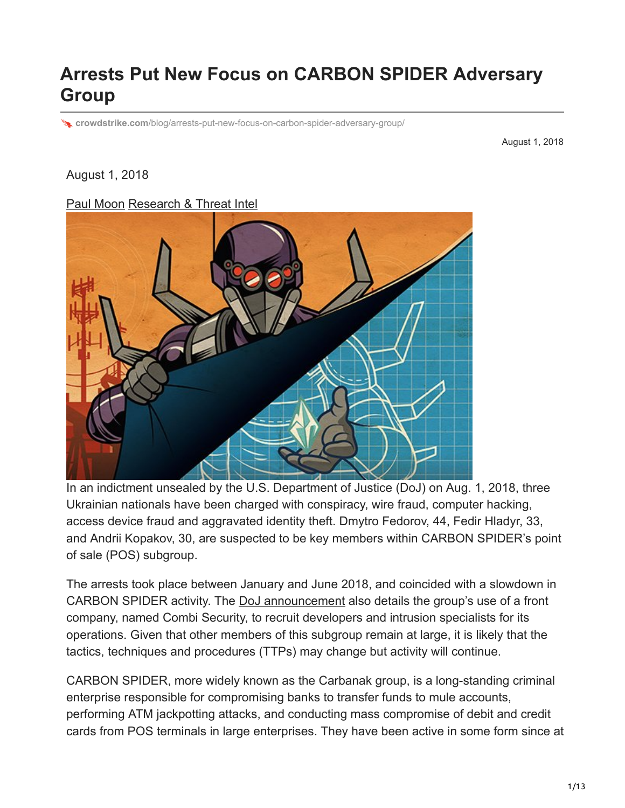# **Arrests Put New Focus on CARBON SPIDER Adversary Group**

**crowdstrike.com**[/blog/arrests-put-new-focus-on-carbon-spider-adversary-group/](https://www.crowdstrike.com/blog/arrests-put-new-focus-on-carbon-spider-adversary-group/)

August 1, 2018

#### August 1, 2018

#### [Paul Moon](https://www.crowdstrike.com/blog/author/paul-moon/) [Research & Threat Intel](https://www.crowdstrike.com/blog/category/threat-intel-research/)



In an indictment unsealed by the U.S. Department of Justice (DoJ) on Aug. 1, 2018, three Ukrainian nationals have been charged with conspiracy, wire fraud, computer hacking, access device fraud and aggravated identity theft. Dmytro Fedorov, 44, Fedir Hladyr, 33, and Andrii Kopakov, 30, are suspected to be key members within CARBON SPIDER's point of sale (POS) subgroup.

The arrests took place between January and June 2018, and coincided with a slowdown in CARBON SPIDER activity. The [DoJ announcement](https://www.justice.gov/opa/pr/three-members-notorious-international-cybercrime-group-fin7-custody-role-attacking-over-100) also details the group's use of a front company, named Combi Security, to recruit developers and intrusion specialists for its operations. Given that other members of this subgroup remain at large, it is likely that the tactics, techniques and procedures (TTPs) may change but activity will continue.

CARBON SPIDER, more widely known as the Carbanak group, is a long-standing criminal enterprise responsible for compromising banks to transfer funds to mule accounts, performing ATM jackpotting attacks, and conducting mass compromise of debit and credit cards from POS terminals in large enterprises. They have been active in some form since at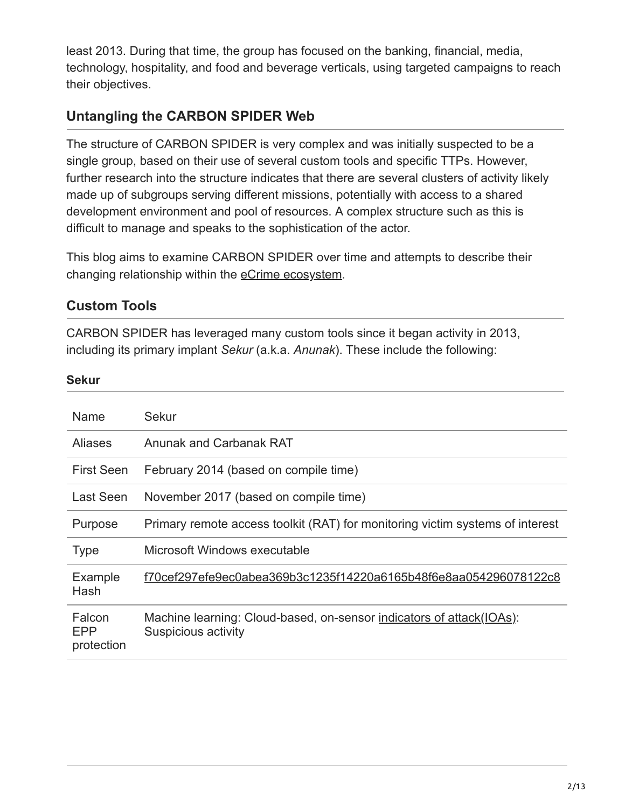least 2013. During that time, the group has focused on the banking, financial, media, technology, hospitality, and food and beverage verticals, using targeted campaigns to reach their objectives.

# **Untangling the CARBON SPIDER Web**

The structure of CARBON SPIDER is very complex and was initially suspected to be a single group, based on their use of several custom tools and specific TTPs. However, further research into the structure indicates that there are several clusters of activity likely made up of subgroups serving different missions, potentially with access to a shared development environment and pool of resources. A complex structure such as this is difficult to manage and speaks to the sophistication of the actor.

This blog aims to examine CARBON SPIDER over time and attempts to describe their changing relationship within the **[eCrime ecosystem](https://www.crowdstrike.com/blog/ecrime-ecosystem/)**.

## **Custom Tools**

CARBON SPIDER has leveraged many custom tools since it began activity in 2013, including its primary implant *Sekur* (a.k.a. *Anunak*). These include the following:

#### **Sekur**

| <b>Name</b>                 | Sekur                                                                                       |
|-----------------------------|---------------------------------------------------------------------------------------------|
| Aliases                     | Anunak and Carbanak RAT                                                                     |
| <b>First Seen</b>           | February 2014 (based on compile time)                                                       |
| Last Seen                   | November 2017 (based on compile time)                                                       |
| Purpose                     | Primary remote access toolkit (RAT) for monitoring victim systems of interest               |
| <b>Type</b>                 | Microsoft Windows executable                                                                |
| Example<br>Hash             | f70cef297efe9ec0abea369b3c1235f14220a6165b48f6e8aa054296078122c8                            |
| Falcon<br>EPP<br>protection | Machine learning: Cloud-based, on-sensor indicators of attack(IOAs):<br>Suspicious activity |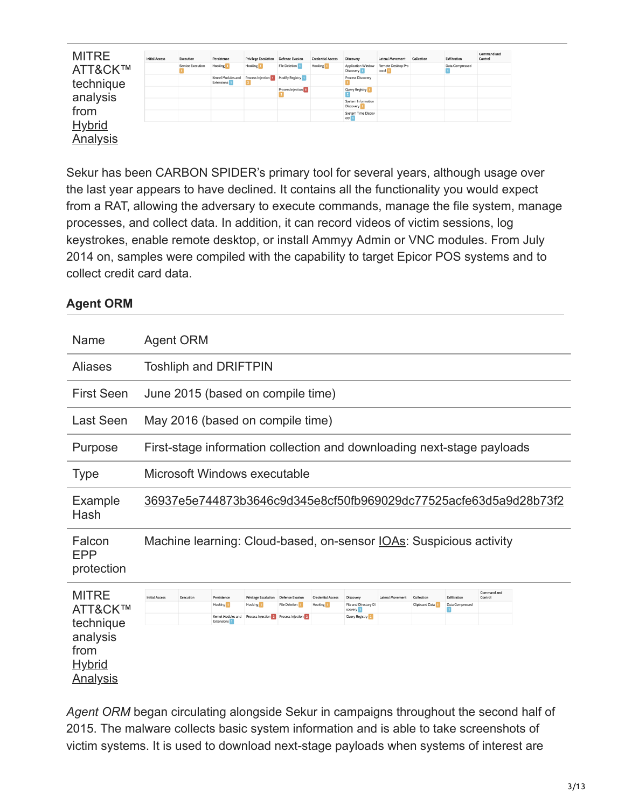| <b>MITRE</b>    | <b>Initial Access</b> | Execution         | Persistence                                   | <b>Privilege Escalation</b> | Defense Evasion                | <b>Credential Access</b> | Discovery                         | <b>Lateral Movement</b>     | Collection | Exfiltration    | Command and<br>Control |
|-----------------|-----------------------|-------------------|-----------------------------------------------|-----------------------------|--------------------------------|--------------------------|-----------------------------------|-----------------------------|------------|-----------------|------------------------|
| ATT&CK™         |                       | Service Execution | Hooking                                       | Hooking                     | File Deletion                  | Hooking                  | Application Window<br>Discovery 1 | Remote Desktop Pro<br>tocol |            | Data Compressed |                        |
| technique       |                       |                   | Kernel Modules and<br>Extensions <sup>1</sup> | Process Injection           | Modify Registry                |                          | Process Discovery                 |                             |            |                 |                        |
|                 |                       |                   |                                               |                             | Process Injection <sup>1</sup> |                          | Query Registry                    |                             |            |                 |                        |
| analysis        |                       |                   |                                               |                             |                                |                          | System Information<br>Discovery 1 |                             |            |                 |                        |
| from            |                       |                   |                                               |                             |                                |                          | System Time Discov<br>ery 1       |                             |            |                 |                        |
| <b>Hybrid</b>   |                       |                   |                                               |                             |                                |                          |                                   |                             |            |                 |                        |
| <b>Analysis</b> |                       |                   |                                               |                             |                                |                          |                                   |                             |            |                 |                        |

Sekur has been CARBON SPIDER's primary tool for several years, although usage over the last year appears to have declined. It contains all the functionality you would expect from a RAT, allowing the adversary to execute commands, manage the file system, manage processes, and collect data. In addition, it can record videos of victim sessions, log keystrokes, enable remote desktop, or install Ammyy Admin or VNC modules. From July 2014 on, samples were compiled with the capability to target Epicor POS systems and to collect credit card data.

### **Agent ORM**

| Name                                                                                         | Agent ORM                                                                  |                              |                                                                                      |                                                                            |                                                                |                                                  |                                                                 |                  |                              |                                 |                                                                        |  |
|----------------------------------------------------------------------------------------------|----------------------------------------------------------------------------|------------------------------|--------------------------------------------------------------------------------------|----------------------------------------------------------------------------|----------------------------------------------------------------|--------------------------------------------------|-----------------------------------------------------------------|------------------|------------------------------|---------------------------------|------------------------------------------------------------------------|--|
| <b>Aliases</b>                                                                               |                                                                            |                              | <b>Toshliph and DRIFTPIN</b>                                                         |                                                                            |                                                                |                                                  |                                                                 |                  |                              |                                 |                                                                        |  |
| <b>First Seen</b>                                                                            |                                                                            |                              | June 2015 (based on compile time)                                                    |                                                                            |                                                                |                                                  |                                                                 |                  |                              |                                 |                                                                        |  |
| Last Seen                                                                                    |                                                                            |                              | May 2016 (based on compile time)                                                     |                                                                            |                                                                |                                                  |                                                                 |                  |                              |                                 |                                                                        |  |
| Purpose                                                                                      |                                                                            |                              |                                                                                      |                                                                            |                                                                |                                                  |                                                                 |                  |                              |                                 | First-stage information collection and downloading next-stage payloads |  |
| <b>Type</b>                                                                                  |                                                                            | Microsoft Windows executable |                                                                                      |                                                                            |                                                                |                                                  |                                                                 |                  |                              |                                 |                                                                        |  |
| Example<br>Hash                                                                              | 36937e5e744873b3646c9d345e8cf50fb969029dc77525acfe63d5a9d28b73f2           |                              |                                                                                      |                                                                            |                                                                |                                                  |                                                                 |                  |                              |                                 |                                                                        |  |
| Falcon<br><b>EPP</b><br>protection                                                           | Machine learning: Cloud-based, on-sensor <u>IOAs</u> : Suspicious activity |                              |                                                                                      |                                                                            |                                                                |                                                  |                                                                 |                  |                              |                                 |                                                                        |  |
| <b>MITRE</b><br>ATT&CK™<br>technique<br>analysis<br>from<br><u>Hybrid</u><br><u>Analysis</u> | <b>Initial Access</b>                                                      | Execution                    | Persistence<br>Hooking <sup>1</sup><br>Kernel Modules and<br>Extensions <sup>1</sup> | <b>Privilege Escalation</b><br>Hooking <sup>1</sup><br>Process Injection 2 | Defense Evasion<br><b>File Deletion</b><br>Process Injection 2 | <b>Credential Access</b><br>Hooking <sup>1</sup> | Discovery<br>File and Directory Di<br>scovery<br>Query Registry | Lateral Movement | Collection<br>Clipboard Data | Exfiltration<br>Data Compressed | Command and<br>Control                                                 |  |

*Agent ORM* began circulating alongside Sekur in campaigns throughout the second half of 2015. The malware collects basic system information and is able to take screenshots of victim systems. It is used to download next-stage payloads when systems of interest are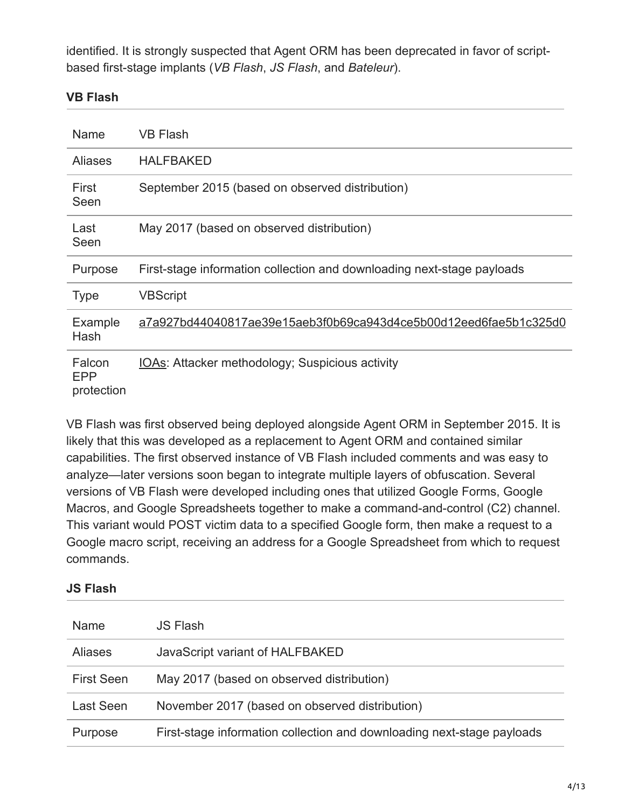identified. It is strongly suspected that Agent ORM has been deprecated in favor of scriptbased first-stage implants (*VB Flash*, *JS Flash*, and *Bateleur*).

#### **VB Flash**

| Name                        | VB Flash                                                               |
|-----------------------------|------------------------------------------------------------------------|
| <b>Aliases</b>              | <b>HALFBAKED</b>                                                       |
| First<br>Seen               | September 2015 (based on observed distribution)                        |
| Last<br>Seen                | May 2017 (based on observed distribution)                              |
| Purpose                     | First-stage information collection and downloading next-stage payloads |
| <b>Type</b>                 | <b>VBScript</b>                                                        |
| Example<br>Hash             | a7a927bd44040817ae39e15aeb3f0b69ca943d4ce5b00d12eed6fae5b1c325d0       |
| Falcon<br>EPP<br>protection | <b>IOAs: Attacker methodology; Suspicious activity</b>                 |

VB Flash was first observed being deployed alongside Agent ORM in September 2015. It is likely that this was developed as a replacement to Agent ORM and contained similar capabilities. The first observed instance of VB Flash included comments and was easy to analyze—later versions soon began to integrate multiple layers of obfuscation. Several versions of VB Flash were developed including ones that utilized Google Forms, Google Macros, and Google Spreadsheets together to make a command-and-control (C2) channel. This variant would POST victim data to a specified Google form, then make a request to a Google macro script, receiving an address for a Google Spreadsheet from which to request commands.

### **JS Flash**

| Name              | <b>JS Flash</b>                                                        |
|-------------------|------------------------------------------------------------------------|
| <b>Aliases</b>    | JavaScript variant of HALFBAKED                                        |
| <b>First Seen</b> | May 2017 (based on observed distribution)                              |
| Last Seen         | November 2017 (based on observed distribution)                         |
| Purpose           | First-stage information collection and downloading next-stage payloads |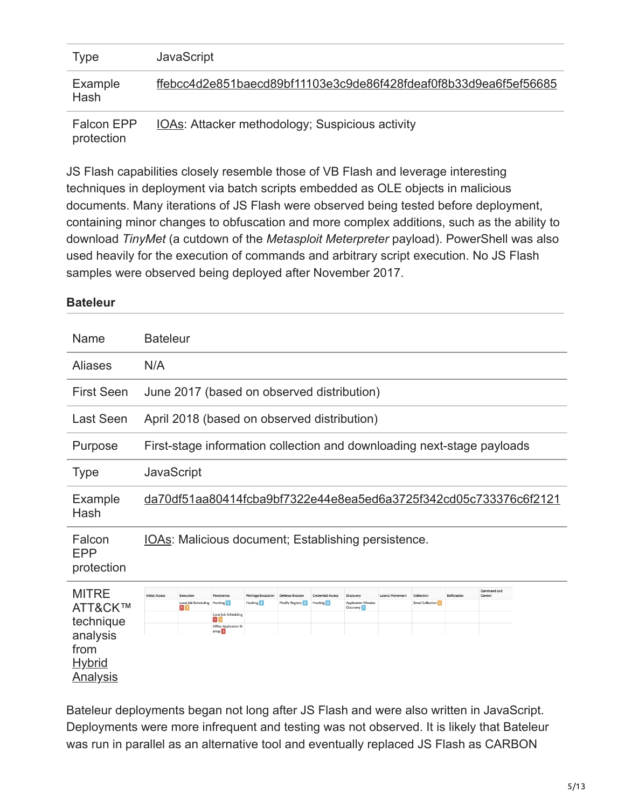| Type              | <b>JavaScript</b>                                                |
|-------------------|------------------------------------------------------------------|
| Example<br>Hash   | ffebcc4d2e851baecd89bf11103e3c9de86f428fdeaf0f8b33d9ea6f5ef56685 |
| <b>Falcon EPP</b> | IOAs: Attacker methodology; Suspicious activity                  |

protection

JS Flash capabilities closely resemble those of VB Flash and leverage interesting techniques in deployment via batch scripts embedded as OLE objects in malicious documents. Many iterations of JS Flash were observed being tested before deployment, containing minor changes to obfuscation and more complex additions, such as the ability to download *TinyMet* (a cutdown of the *Metasploit Meterpreter* payload). PowerShell was also used heavily for the execution of commands and arbitrary script execution. No JS Flash samples were observed being deployed after November 2017.

### **Bateleur**

| Name                                                                                         | <b>Bateleur</b>                                                                                                                                                                                                                                                                                                                                                                                                                                                                    |  |  |  |  |
|----------------------------------------------------------------------------------------------|------------------------------------------------------------------------------------------------------------------------------------------------------------------------------------------------------------------------------------------------------------------------------------------------------------------------------------------------------------------------------------------------------------------------------------------------------------------------------------|--|--|--|--|
| <b>Aliases</b>                                                                               | N/A                                                                                                                                                                                                                                                                                                                                                                                                                                                                                |  |  |  |  |
| <b>First Seen</b>                                                                            | June 2017 (based on observed distribution)                                                                                                                                                                                                                                                                                                                                                                                                                                         |  |  |  |  |
| <b>Last Seen</b>                                                                             | April 2018 (based on observed distribution)                                                                                                                                                                                                                                                                                                                                                                                                                                        |  |  |  |  |
| Purpose                                                                                      | First-stage information collection and downloading next-stage payloads                                                                                                                                                                                                                                                                                                                                                                                                             |  |  |  |  |
| <b>Type</b>                                                                                  | <b>JavaScript</b>                                                                                                                                                                                                                                                                                                                                                                                                                                                                  |  |  |  |  |
| Example<br>Hash                                                                              | da70df51aa80414fcba9bf7322e44e8ea5ed6a3725f342cd05c733376c6f2121                                                                                                                                                                                                                                                                                                                                                                                                                   |  |  |  |  |
| Falcon<br><b>EPP</b><br>protection                                                           | IOAs: Malicious document; Establishing persistence.                                                                                                                                                                                                                                                                                                                                                                                                                                |  |  |  |  |
| <b>MITRE</b><br>ATT&CK™<br>technique<br>analysis<br>from<br><u>Hybrid</u><br><u>Analysis</u> | Command and<br><b>Initial Access</b><br>Exfiltration<br>Execution<br>Persistence<br><b>Privilege Escalation</b><br><b>Credential Access</b><br>Discovery<br><b>Lateral Movement</b><br>Collection<br>Control<br><b>Defense Evasion</b><br>Local Job Scheduling<br>Hooking 3<br>Hooking 3<br>Hooking 3<br>Modify Registry 2<br><b>Application Window</b><br><b>Email Collection</b><br>п<br>Discovery 1<br>Local Job Scheduling<br>п<br>Office Application St<br>artup <sup>1</sup> |  |  |  |  |

Bateleur deployments began not long after JS Flash and were also written in JavaScript. Deployments were more infrequent and testing was not observed. It is likely that Bateleur was run in parallel as an alternative tool and eventually replaced JS Flash as CARBON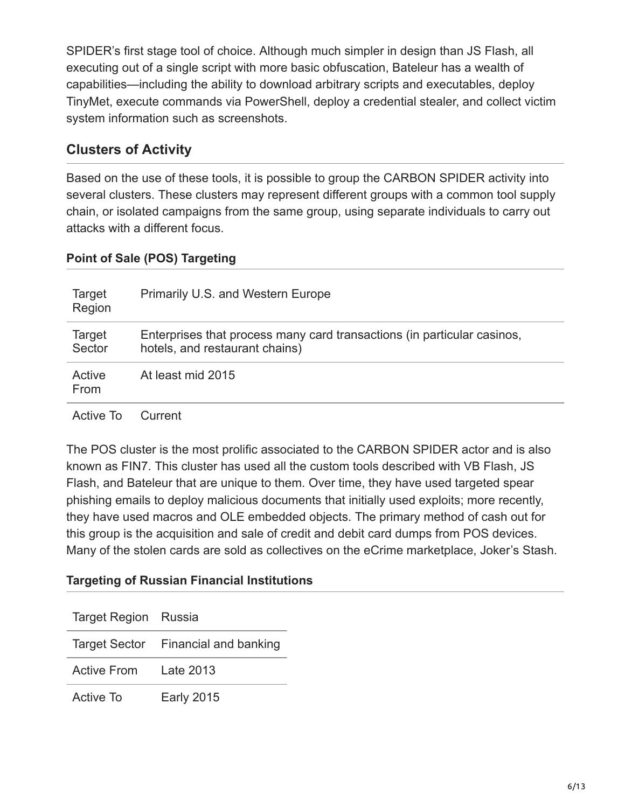SPIDER's first stage tool of choice. Although much simpler in design than JS Flash, all executing out of a single script with more basic obfuscation, Bateleur has a wealth of capabilities—including the ability to download arbitrary scripts and executables, deploy TinyMet, execute commands via PowerShell, deploy a credential stealer, and collect victim system information such as screenshots.

# **Clusters of Activity**

Based on the use of these tools, it is possible to group the CARBON SPIDER activity into several clusters. These clusters may represent different groups with a common tool supply chain, or isolated campaigns from the same group, using separate individuals to carry out attacks with a different focus.

## **Point of Sale (POS) Targeting**

| Target<br>Region | Primarily U.S. and Western Europe                                                                         |
|------------------|-----------------------------------------------------------------------------------------------------------|
| Target<br>Sector | Enterprises that process many card transactions (in particular casinos,<br>hotels, and restaurant chains) |
| Active<br>From   | At least mid 2015                                                                                         |
| Active To        | Current                                                                                                   |

The POS cluster is the most prolific associated to the CARBON SPIDER actor and is also known as FIN7. This cluster has used all the custom tools described with VB Flash, JS Flash, and Bateleur that are unique to them. Over time, they have used targeted spear phishing emails to deploy malicious documents that initially used exploits; more recently, they have used macros and OLE embedded objects. The primary method of cash out for this group is the acquisition and sale of credit and debit card dumps from POS devices. Many of the stolen cards are sold as collectives on the eCrime marketplace, Joker's Stash.

## **Targeting of Russian Financial Institutions**

| Target Region Russia  |                                     |
|-----------------------|-------------------------------------|
|                       | Target Sector Financial and banking |
| Active From Late 2013 |                                     |
| Active To             | <b>Early 2015</b>                   |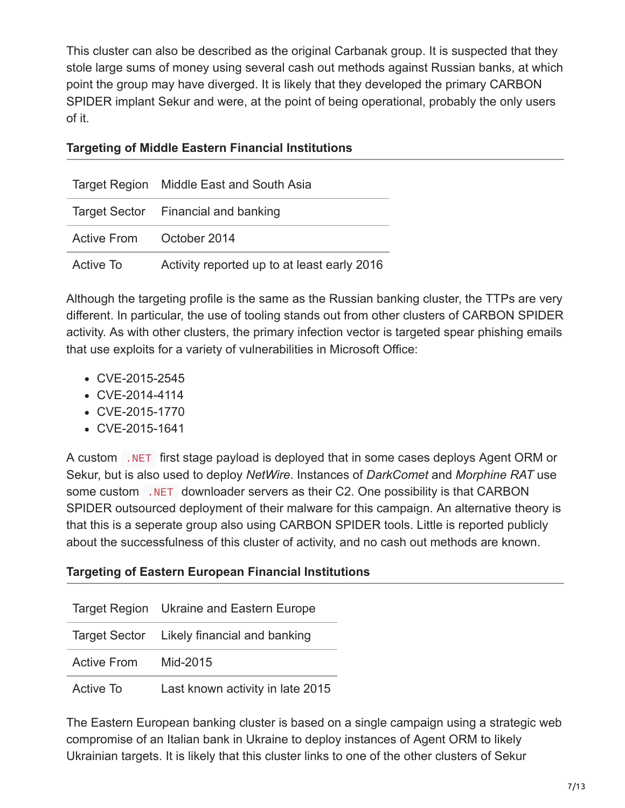This cluster can also be described as the original Carbanak group. It is suspected that they stole large sums of money using several cash out methods against Russian banks, at which point the group may have diverged. It is likely that they developed the primary CARBON SPIDER implant Sekur and were, at the point of being operational, probably the only users of it.

#### **Targeting of Middle Eastern Financial Institutions**

|                          | Target Region Middle East and South Asia    |
|--------------------------|---------------------------------------------|
|                          | Target Sector Financial and banking         |
| Active From October 2014 |                                             |
| Active To                | Activity reported up to at least early 2016 |

Although the targeting profile is the same as the Russian banking cluster, the TTPs are very different. In particular, the use of tooling stands out from other clusters of CARBON SPIDER activity. As with other clusters, the primary infection vector is targeted spear phishing emails that use exploits for a variety of vulnerabilities in Microsoft Office:

- CVE-2015-2545
- CVE-2014-4114
- CVE-2015-1770
- CVE-2015-1641

A custom .NET first stage payload is deployed that in some cases deploys Agent ORM or Sekur, but is also used to deploy *NetWire*. Instances of *DarkComet* and *Morphine RAT* use some custom .NET downloader servers as their C2. One possibility is that CARBON SPIDER outsourced deployment of their malware for this campaign. An alternative theory is that this is a seperate group also using CARBON SPIDER tools. Little is reported publicly about the successfulness of this cluster of activity, and no cash out methods are known.

| <b>Targeting of Eastern European Financial Institutions</b> |  |  |  |
|-------------------------------------------------------------|--|--|--|
|-------------------------------------------------------------|--|--|--|

|                    | Target Region Ukraine and Eastern Europe   |
|--------------------|--------------------------------------------|
|                    | Target Sector Likely financial and banking |
| <b>Active From</b> | Mid-2015                                   |
| Active To          | Last known activity in late 2015           |

The Eastern European banking cluster is based on a single campaign using a strategic web compromise of an Italian bank in Ukraine to deploy instances of Agent ORM to likely Ukrainian targets. It is likely that this cluster links to one of the other clusters of Sekur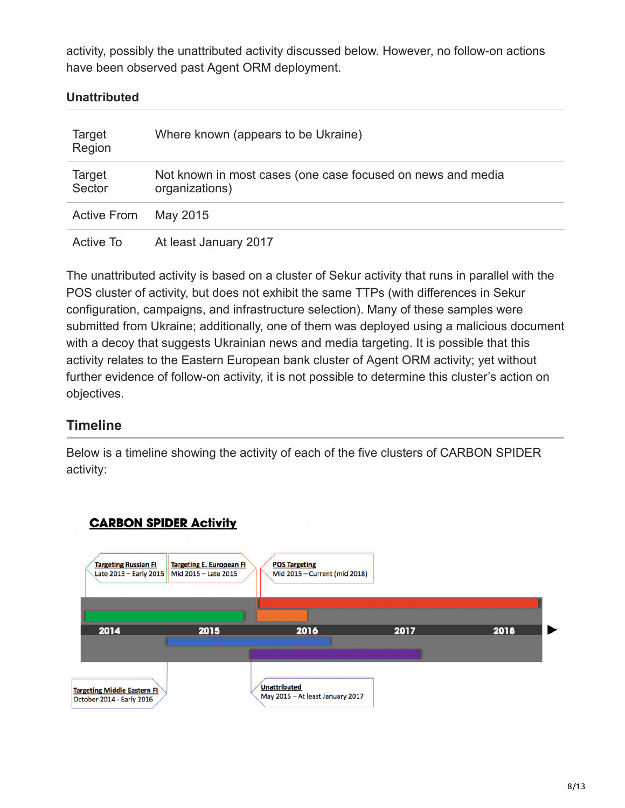activity, possibly the unattributed activity discussed below. However, no follow-on actions have been observed past Agent ORM deployment.

#### **Unattributed**

| Target<br>Region   | Where known (appears to be Ukraine)                                           |
|--------------------|-------------------------------------------------------------------------------|
| Target<br>Sector   | Not known in most cases (one case focused on news and media<br>organizations) |
| <b>Active From</b> | May 2015                                                                      |
| Active To          | At least January 2017                                                         |

The unattributed activity is based on a cluster of Sekur activity that runs in parallel with the POS cluster of activity, but does not exhibit the same TTPs (with differences in Sekur configuration, campaigns, and infrastructure selection). Many of these samples were submitted from Ukraine; additionally, one of them was deployed using a malicious document with a decoy that suggests Ukrainian news and media targeting. It is possible that this activity relates to the Eastern European bank cluster of Agent ORM activity; yet without further evidence of follow-on activity, it is not possible to determine this cluster's action on objectives.

## **Timeline**

Below is a timeline showing the activity of each of the five clusters of CARBON SPIDER activity:

## **CARBON SPIDER Activity**

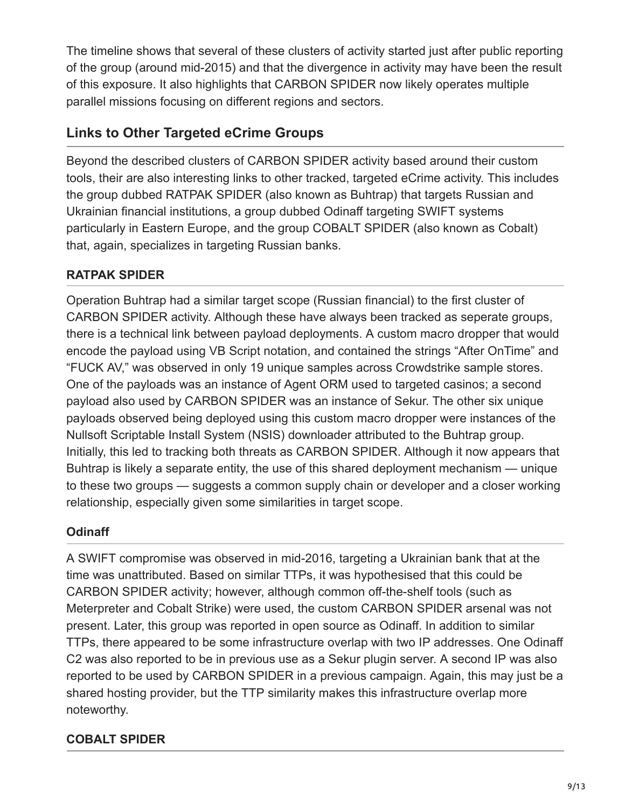The timeline shows that several of these clusters of activity started just after public reporting of the group (around mid-2015) and that the divergence in activity may have been the result of this exposure. It also highlights that CARBON SPIDER now likely operates multiple parallel missions focusing on different regions and sectors.

## **Links to Other Targeted eCrime Groups**

Beyond the described clusters of CARBON SPIDER activity based around their custom tools, their are also interesting links to other tracked, targeted eCrime activity. This includes the group dubbed RATPAK SPIDER (also known as Buhtrap) that targets Russian and Ukrainian financial institutions, a group dubbed Odinaff targeting SWIFT systems particularly in Eastern Europe, and the group COBALT SPIDER (also known as Cobalt) that, again, specializes in targeting Russian banks.

## **RATPAK SPIDER**

Operation Buhtrap had a similar target scope (Russian financial) to the first cluster of CARBON SPIDER activity. Although these have always been tracked as seperate groups, there is a technical link between payload deployments. A custom macro dropper that would encode the payload using VB Script notation, and contained the strings "After OnTime" and "FUCK AV," was observed in only 19 unique samples across Crowdstrike sample stores. One of the payloads was an instance of Agent ORM used to targeted casinos; a second payload also used by CARBON SPIDER was an instance of Sekur. The other six unique payloads observed being deployed using this custom macro dropper were instances of the Nullsoft Scriptable Install System (NSIS) downloader attributed to the Buhtrap group. Initially, this led to tracking both threats as CARBON SPIDER. Although it now appears that Buhtrap is likely a separate entity, the use of this shared deployment mechanism — unique to these two groups — suggests a common supply chain or developer and a closer working relationship, especially given some similarities in target scope.

## **Odinaff**

A SWIFT compromise was observed in mid-2016, targeting a Ukrainian bank that at the time was unattributed. Based on similar TTPs, it was hypothesised that this could be CARBON SPIDER activity; however, although common off-the-shelf tools (such as Meterpreter and Cobalt Strike) were used, the custom CARBON SPIDER arsenal was not present. Later, this group was reported in open source as Odinaff. In addition to similar TTPs, there appeared to be some infrastructure overlap with two IP addresses. One Odinaff C2 was also reported to be in previous use as a Sekur plugin server. A second IP was also reported to be used by CARBON SPIDER in a previous campaign. Again, this may just be a shared hosting provider, but the TTP similarity makes this infrastructure overlap more noteworthy.

# **COBALT SPIDER**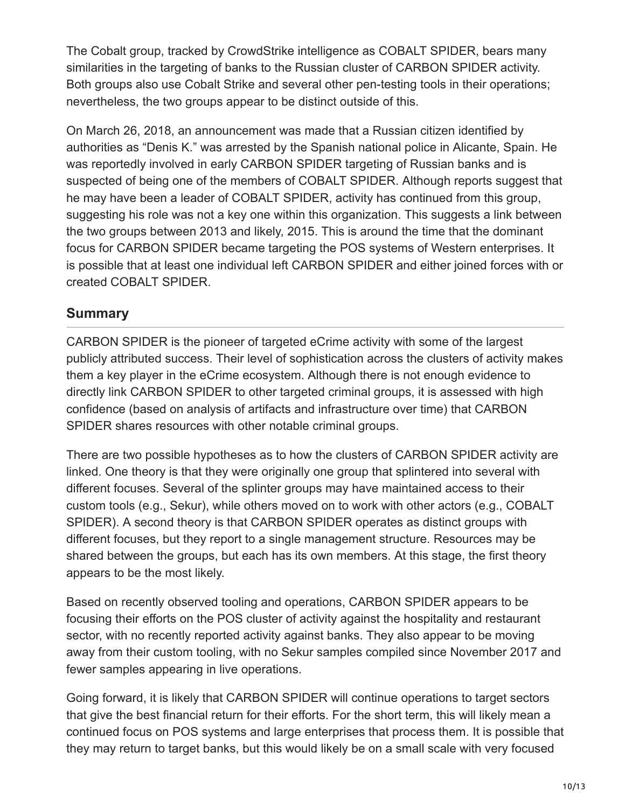The Cobalt group, tracked by CrowdStrike intelligence as COBALT SPIDER, bears many similarities in the targeting of banks to the Russian cluster of CARBON SPIDER activity. Both groups also use Cobalt Strike and several other pen-testing tools in their operations; nevertheless, the two groups appear to be distinct outside of this.

On March 26, 2018, an announcement was made that a Russian citizen identified by authorities as "Denis K." was arrested by the Spanish national police in Alicante, Spain. He was reportedly involved in early CARBON SPIDER targeting of Russian banks and is suspected of being one of the members of COBALT SPIDER. Although reports suggest that he may have been a leader of COBALT SPIDER, activity has continued from this group, suggesting his role was not a key one within this organization. This suggests a link between the two groups between 2013 and likely, 2015. This is around the time that the dominant focus for CARBON SPIDER became targeting the POS systems of Western enterprises. It is possible that at least one individual left CARBON SPIDER and either joined forces with or created COBALT SPIDER.

## **Summary**

CARBON SPIDER is the pioneer of targeted eCrime activity with some of the largest publicly attributed success. Their level of sophistication across the clusters of activity makes them a key player in the eCrime ecosystem. Although there is not enough evidence to directly link CARBON SPIDER to other targeted criminal groups, it is assessed with high confidence (based on analysis of artifacts and infrastructure over time) that CARBON SPIDER shares resources with other notable criminal groups.

There are two possible hypotheses as to how the clusters of CARBON SPIDER activity are linked. One theory is that they were originally one group that splintered into several with different focuses. Several of the splinter groups may have maintained access to their custom tools (e.g., Sekur), while others moved on to work with other actors (e.g., COBALT SPIDER). A second theory is that CARBON SPIDER operates as distinct groups with different focuses, but they report to a single management structure. Resources may be shared between the groups, but each has its own members. At this stage, the first theory appears to be the most likely.

Based on recently observed tooling and operations, CARBON SPIDER appears to be focusing their efforts on the POS cluster of activity against the hospitality and restaurant sector, with no recently reported activity against banks. They also appear to be moving away from their custom tooling, with no Sekur samples compiled since November 2017 and fewer samples appearing in live operations.

Going forward, it is likely that CARBON SPIDER will continue operations to target sectors that give the best financial return for their efforts. For the short term, this will likely mean a continued focus on POS systems and large enterprises that process them. It is possible that they may return to target banks, but this would likely be on a small scale with very focused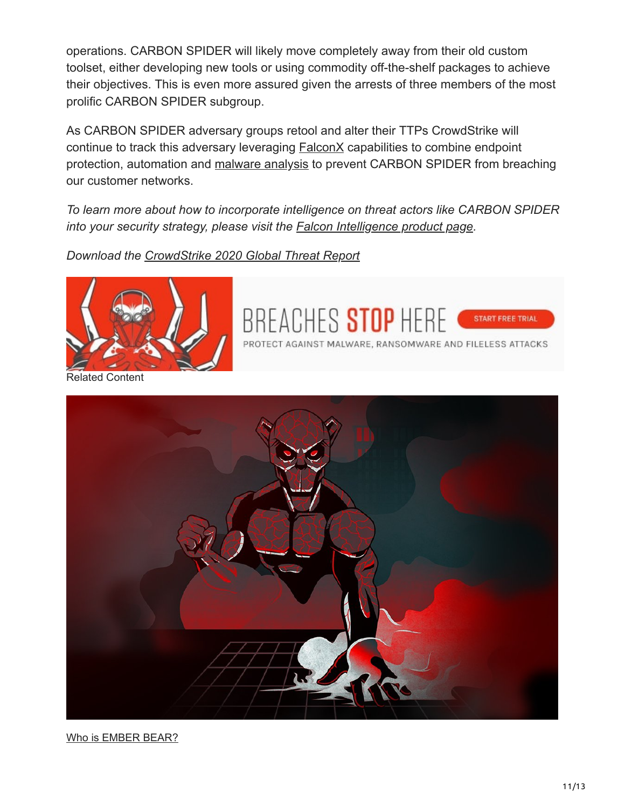operations. CARBON SPIDER will likely move completely away from their old custom toolset, either developing new tools or using commodity off-the-shelf packages to achieve their objectives. This is even more assured given the arrests of three members of the most prolific CARBON SPIDER subgroup.

As CARBON SPIDER adversary groups retool and alter their TTPs CrowdStrike will continue to track this adversary leveraging **FalconX** capabilities to combine endpoint protection, automation and [malware analysis](https://www.crowdstrike.com/epp-101/malware-analysis/) to prevent CARBON SPIDER from breaching our customer networks.

*To learn more about how to incorporate intelligence on threat actors like CARBON SPIDER into your security strategy, please visit the [Falcon Intelligence product page.](https://www.crowdstrike.com/products/falcon-intelligence/)*

BREACHES STOP HERE

PROTECT AGAINST MALWARE, RANSOMWARE AND FILELESS ATTACKS

START FREE TRIAL

*Download the [CrowdStrike 2020 Global Threat Report](https://www.crowdstrike.com/resources/reports/2020-crowdstrike-global-threat-report/)*



**elated Content** 



[Who is EMBER BEAR?](https://www.crowdstrike.com/blog/who-is-ember-bear/)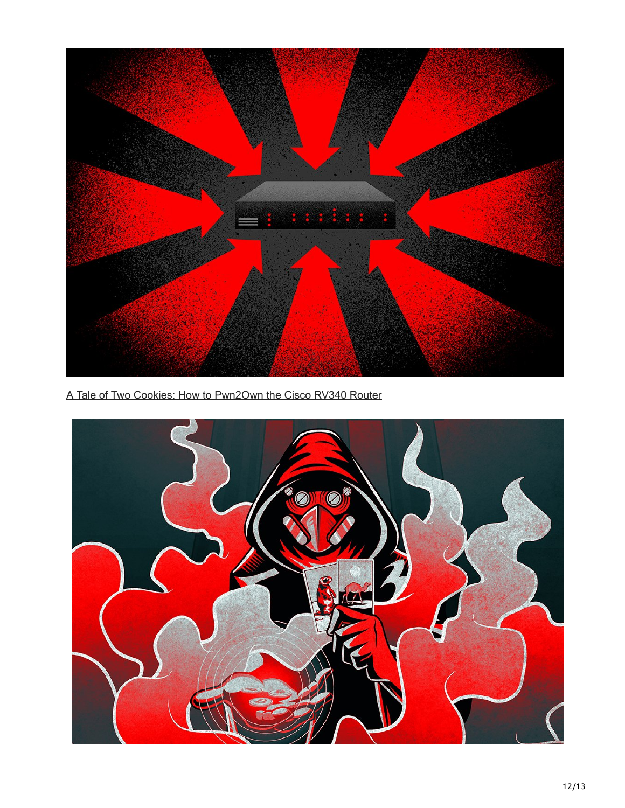

[A Tale of Two Cookies: How to Pwn2Own the Cisco RV340 Router](https://www.crowdstrike.com/blog/how-to-pwn2own-the-cisco-rv340-router/)